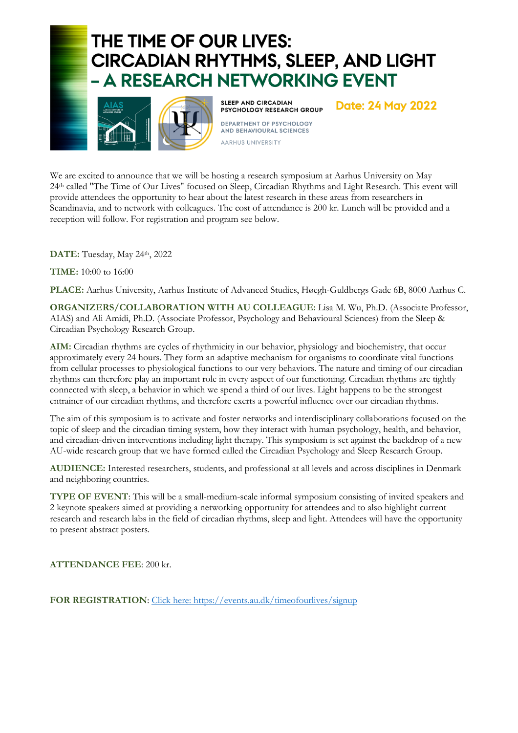# THE TIME OF OUR LIVES: **CIRCADIAN RHYTHMS, SLEEP, AND LIGHT** - A RESEARCH NETWORKING EVENT



**SLEEP AND CIRCADIAN** PSYCHOLOGY RESEARCH GROUP DEPARTMENT OF PSYCHOLOGY **AND BEHAVIOURAL SCIENCES** AARHUS UNIVERSITY

**Date: 24 May 2022** 

We are excited to announce that we will be hosting a research symposium at Aarhus University on May 24th called "The Time of Our Lives" focused on Sleep, Circadian Rhythms and Light Research. This event will provide attendees the opportunity to hear about the latest research in these areas from researchers in Scandinavia, and to network with colleagues. The cost of attendance is 200 kr. Lunch will be provided and a reception will follow. For registration and program see below.

**DATE:** Tuesday, May 24th, 2022

**TIME:** 10:00 to 16:00

**PLACE:** Aarhus University, Aarhus Institute of Advanced Studies, Høegh-Guldbergs Gade 6B, 8000 Aarhus C.

**ORGANIZERS/COLLABORATION WITH AU COLLEAGUE:** Lisa M. Wu, Ph.D. (Associate Professor, AIAS) and Ali Amidi, Ph.D. (Associate Professor, Psychology and Behavioural Sciences) from the Sleep & Circadian Psychology Research Group.

**AIM:** Circadian rhythms are cycles of rhythmicity in our behavior, physiology and biochemistry, that occur approximately every 24 hours. They form an adaptive mechanism for organisms to coordinate vital functions from cellular processes to physiological functions to our very behaviors. The nature and timing of our circadian rhythms can therefore play an important role in every aspect of our functioning. Circadian rhythms are tightly connected with sleep, a behavior in which we spend a third of our lives. Light happens to be the strongest entrainer of our circadian rhythms, and therefore exerts a powerful influence over our circadian rhythms.

The aim of this symposium is to activate and foster networks and interdisciplinary collaborations focused on the topic of sleep and the circadian timing system, how they interact with human psychology, health, and behavior, and circadian-driven interventions including light therapy. This symposium is set against the backdrop of a new AU-wide research group that we have formed called the Circadian Psychology and Sleep Research Group.

**AUDIENCE:** Interested researchers, students, and professional at all levels and across disciplines in Denmark and neighboring countries.

**TYPE OF EVENT**: This will be a small-medium-scale informal symposium consisting of invited speakers and 2 keynote speakers aimed at providing a networking opportunity for attendees and to also highlight current research and research labs in the field of circadian rhythms, sleep and light. Attendees will have the opportunity to present abstract posters.

**ATTENDANCE FEE**: 200 kr.

**FOR REGISTRATION**: Click here: https://events.au.dk/timeofourlives/signup